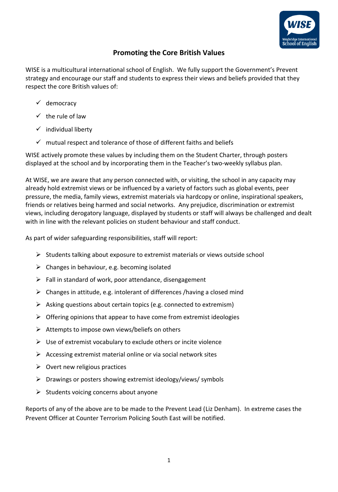

## **Promoting the Core British Values**

WISE is a multicultural international school of English. We fully support the Government's Prevent strategy and encourage our staff and students to express their views and beliefs provided that they respect the core British values of:

- ✓ democracy
- $\checkmark$  the rule of law
- $\checkmark$  individual liberty
- $\checkmark$  mutual respect and tolerance of those of different faiths and beliefs

WISE actively promote these values by including them on the Student Charter, through posters displayed at the school and by incorporating them in the Teacher's two-weekly syllabus plan.

At WISE, we are aware that any person connected with, or visiting, the school in any capacity may already hold extremist views or be influenced by a variety of factors such as global events, peer pressure, the media, family views, extremist materials via hardcopy or online, inspirational speakers, friends or relatives being harmed and social networks. Any prejudice, discrimination or extremist views, including derogatory language, displayed by students or staff will always be challenged and dealt with in line with the relevant policies on student behaviour and staff conduct.

As part of wider safeguarding responsibilities, staff will report:

- ➢ Students talking about exposure to extremist materials or views outside school
- $\triangleright$  Changes in behaviour, e.g. becoming isolated
- $\triangleright$  Fall in standard of work, poor attendance, disengagement
- ➢ Changes in attitude, e.g. intolerant of differences /having a closed mind
- $\triangleright$  Asking questions about certain topics (e.g. connected to extremism)
- $\triangleright$  Offering opinions that appear to have come from extremist ideologies
- ➢ Attempts to impose own views/beliefs on others
- $\triangleright$  Use of extremist vocabulary to exclude others or incite violence
- $\triangleright$  Accessing extremist material online or via social network sites
- $\triangleright$  Overt new religious practices
- ➢ Drawings or posters showing extremist ideology/views/ symbols
- $\triangleright$  Students voicing concerns about anyone

Reports of any of the above are to be made to the Prevent Lead (Liz Denham). In extreme cases the Prevent Officer at Counter Terrorism Policing South East will be notified.